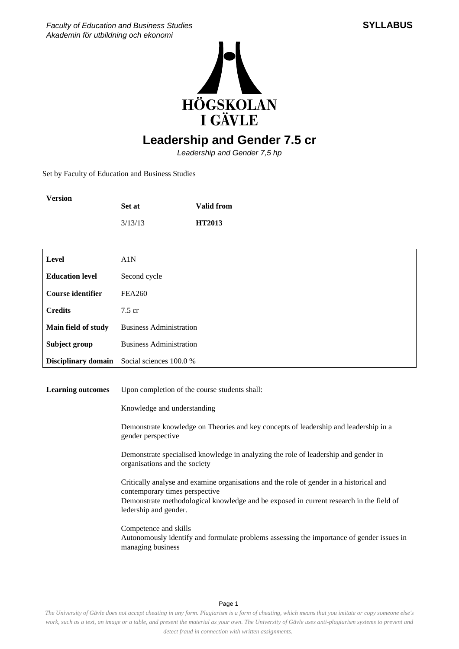



## **Leadership and Gender 7.5 cr**

Leadership and Gender 7,5 hp

Set by Faculty of Education and Business Studies

**Version**

|                            | Set at                                                                       | <b>Valid from</b>                                                                                                                                                                  |  |
|----------------------------|------------------------------------------------------------------------------|------------------------------------------------------------------------------------------------------------------------------------------------------------------------------------|--|
|                            | 3/13/13                                                                      | HT2013                                                                                                                                                                             |  |
|                            |                                                                              |                                                                                                                                                                                    |  |
| <b>Level</b>               | A1N                                                                          |                                                                                                                                                                                    |  |
| <b>Education level</b>     | Second cycle                                                                 |                                                                                                                                                                                    |  |
| <b>Course identifier</b>   | <b>FEA260</b>                                                                |                                                                                                                                                                                    |  |
| <b>Credits</b>             | 7.5 cr                                                                       |                                                                                                                                                                                    |  |
| Main field of study        | <b>Business Administration</b>                                               |                                                                                                                                                                                    |  |
| Subject group              | <b>Business Administration</b>                                               |                                                                                                                                                                                    |  |
| <b>Disciplinary domain</b> | Social sciences 100.0 %                                                      |                                                                                                                                                                                    |  |
|                            |                                                                              |                                                                                                                                                                                    |  |
| <b>Learning outcomes</b>   | Upon completion of the course students shall:<br>Knowledge and understanding |                                                                                                                                                                                    |  |
|                            |                                                                              |                                                                                                                                                                                    |  |
|                            | gender perspective                                                           | Demonstrate knowledge on Theories and key concepts of leadership and leadership in a                                                                                               |  |
|                            | organisations and the society                                                | Demonstrate specialised knowledge in analyzing the role of leadership and gender in                                                                                                |  |
|                            | contemporary times perspective<br>ledership and gender.                      | Critically analyse and examine organisations and the role of gender in a historical and<br>Demonstrate methodological knowledge and be exposed in current research in the field of |  |
|                            | Competence and skills<br>managing business                                   | Autonomously identify and formulate problems assessing the importance of gender issues in                                                                                          |  |

Page 1

*The University of Gävle does not accept cheating in any form. Plagiarism is a form of cheating, which means that you imitate or copy someone else's work, such as a text, an image or a table, and present the material as your own. The University of Gävle uses anti-plagiarism systems to prevent and detect fraud in connection with written assignments.*